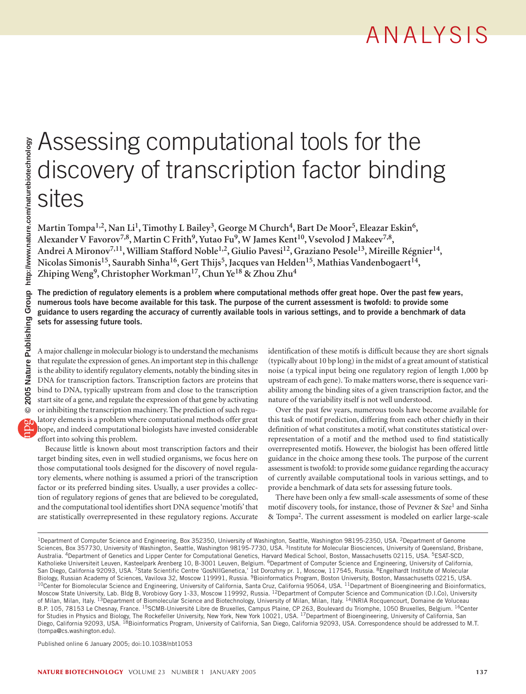## ANALYSIS

# Assessing computational tools for the discovery of transcription factor binding sites

Martin Tompa<sup>1,2</sup>, Nan Li<sup>1</sup>, Timothy L Bailey<sup>3</sup>, George M Church<sup>4</sup>, Bart De Moor<sup>5</sup>, Eleazar Eskin<sup>6</sup>, Alexander V Favorov<sup>7,8</sup>, Martin C Frith<sup>9</sup>, Yutao Fu<sup>9</sup>, W James Kent<sup>10</sup>, Vsevolod J Makeev<sup>7,8</sup>, Andrei A Mironov<sup>7,11</sup>, William Stafford Noble<sup>1,2</sup>, Giulio Pavesi<sup>12</sup>, Graziano Pesole<sup>13</sup>, Mireille Régnier<sup>14</sup>, Nicolas Simonis<sup>15</sup>, Saurabh Sinha<sup>16</sup>, Gert Thijs<sup>5</sup>, Jacques van Helden<sup>15</sup>, Mathias Vandenbogaert<sup>14</sup>, **Zhiping Weng9, Christopher Workman17, Chun Ye18 & Zhou Zhu4**

**The prediction of regulatory elements is a problem where computational methods offer great hope. Over the past few years, numerous tools have become available for this task. The purpose of the current assessment is twofold: to provide some guidance to users regarding the accuracy of currently available tools in various settings, and to provide a benchmark of data sets for assessing future tools.**

A major challenge in molecular biology is to understand the mechanisms that regulate the expression of genes. An important step in this challenge is the ability to identify regulatory elements, notably the binding sites in DNA for transcription factors. Transcription factors are proteins that bind to DNA, typically upstream from and close to the transcription start site of a gene, and regulate the expression of that gene by activating or inhibiting the transcription machinery. The prediction of such regulatory elements is a problem where computational methods offer great hope, and indeed computational biologists have invested considerable effort into solving this problem.

Because little is known about most transcription factors and their target binding sites, even in well studied organisms, we focus here on those computational tools designed for the discovery of novel regulatory elements, where nothing is assumed a priori of the transcription factor or its preferred binding sites. Usually, a user provides a collection of regulatory regions of genes that are believed to be coregulated, and the computational tool identifies short DNA sequence 'motifs' that are statistically overrepresented in these regulatory regions. Accurate

identification of these motifs is difficult because they are short signals (typically about 10 bp long) in the midst of a great amount of statistical noise (a typical input being one regulatory region of length 1,000 bp upstream of each gene). To make matters worse, there is sequence variability among the binding sites of a given transcription factor, and the nature of the variability itself is not well understood.

Over the past few years, numerous tools have become available for this task of motif prediction, differing from each other chiefly in their definition of what constitutes a motif, what constitutes statistical overrepresentation of a motif and the method used to find statistically overrepresented motifs. However, the biologist has been offered little guidance in the choice among these tools. The purpose of the current assessment is twofold: to provide some guidance regarding the accuracy of currently available computational tools in various settings, and to provide a benchmark of data sets for assessing future tools.

There have been only a few small-scale assessments of some of these motif discovery tools, for instance, those of Pevzner & Sze<sup>1</sup> and Sinha & Tompa2. The current assessment is modeled on earlier large-scale

Published online 6 January 2005; doi:10.1038/nbt1053

<sup>&</sup>lt;sup>1</sup>Department of Computer Science and Engineering, Box 352350, University of Washington, Seattle, Washington 98195-2350, USA. <sup>2</sup>Department of Genome Sciences, Box 357730, University of Washington, Seattle, Washington 98195-7730, USA. <sup>3</sup>Institute for Molecular Biosciences, University of Queensland, Brisbane, Australia. 4Department of Genetics and Lipper Center for Computational Genetics, Harvard Medical School, Boston, Massachusetts 02115, USA. 5ESAT-SCD, Katholieke Universiteit Leuven, Kasteelpark Arenberg 10, B-3001 Leuven, Belgium. <sup>6</sup>Department of Computer Science and Engineering, University of California, San Diego, California 92093, USA. <sup>7</sup>State Scientific Centre 'GosNIIGenetica,' 1st Dorozhny pr. 1, Moscow, 117545, Russia. <sup>8</sup>Engelhardt Institute of Molecular<br>Biology, Russian Academy of Sciences, Vavilova 32, Moscow 1199 <sup>10</sup>Center for Biomolecular Science and Engineering, University of California, Santa Cruz, California 95064, USA. <sup>11</sup>Department of Bioengineering and Bioinformatics, Moscow State University, Lab. Bldg B, Vorobiovy Gory 1-33, Moscow 119992, Russia. <sup>12</sup>Department of Computer Science and Communication (D.I.Co), University of Milan, Milan, Italy. <sup>13</sup>Department of Biomolecular Science and Biotechnology, University of Milan, Milan, Italy. <sup>14</sup>INRIA Rocquencourt, Domaine de Voluceau B.P. 105, 78153 Le Chesnay, France. 15SCMB-Université Libre de Bruxelles, Campus Plaine, CP 263, Boulevard du Triomphe, 1050 Bruxelles, Belgium. 16Center for Studies in Physics and Biology, The Rockefeller University, New York, New York 10021, USA. <sup>17</sup>Department of Bioengineering, University of California, San Diego, California 92093, USA. <sup>18</sup>Bioinformatics Program, University of California, San Diego, California 92093, USA. Correspondence should be addressed to M.T. (tompa@cs.washington.edu).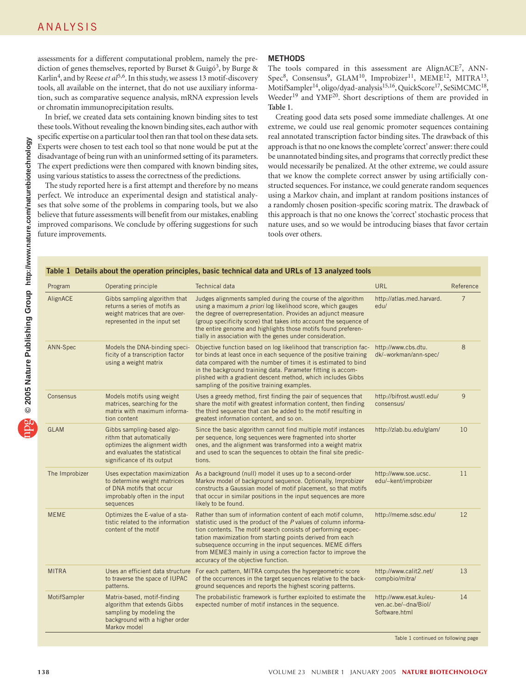assessments for a different computational problem, namely the prediction of genes themselves, reported by Burset & Guigó<sup>3</sup>, by Burge & Karlin<sup>4</sup>, and by Reese *et al*<sup>5,6</sup>. In this study, we assess 13 motif-discovery tools, all available on the internet, that do not use auxiliary information, such as comparative sequence analysis, mRNA expression levels or chromatin immunoprecipitation results.

In brief, we created data sets containing known binding sites to test these tools. Without revealing the known binding sites, each author with specific expertise on a particular tool then ran that tool on these data sets. Experts were chosen to test each tool so that none would be put at the disadvantage of being run with an uninformed setting of its parameters. The expert predictions were then compared with known binding sites, using various statistics to assess the correctness of the predictions.

The study reported here is a first attempt and therefore by no means perfect. We introduce an experimental design and statistical analyses that solve some of the problems in comparing tools, but we also believe that future assessments will benefit from our mistakes, enabling improved comparisons. We conclude by offering suggestions for such future improvements.

#### **METHODS**

The tools compared in this assessment are AlignACE7, ANN-Spec<sup>8</sup>, Consensus<sup>9</sup>, GLAM<sup>10</sup>, Improbizer<sup>11</sup>, MEME<sup>12</sup>, MITRA<sup>13</sup>, MotifSampler<sup>14</sup>, oligo/dyad-analysis<sup>15,16</sup>, QuickScore<sup>17</sup>, SeSiMCMC<sup>18</sup>, Weeder<sup>19</sup> and YMF<sup>20</sup>. Short descriptions of them are provided in **Table 1**.

Creating good data sets posed some immediate challenges. At one extreme, we could use real genomic promoter sequences containing real annotated transcription factor binding sites. The drawback of this approach is that no one knows the complete 'correct' answer: there could be unannotated binding sites, and programs that correctly predict these would necessarily be penalized. At the other extreme, we could assure that we know the complete correct answer by using artificially constructed sequences. For instance, we could generate random sequences using a Markov chain, and implant at random positions instances of a randomly chosen position-specific scoring matrix. The drawback of this approach is that no one knows the 'correct' stochastic process that nature uses, and so we would be introducing biases that favor certain tools over others.

#### **Table 1 Details about the operation principles, basic technical data and URLs of 13 analyzed tools**

|                                                                                                                                                        |                                                                                                                                                                                                                                                                                                                                                                                                                                       |                                                                 | Reference      |
|--------------------------------------------------------------------------------------------------------------------------------------------------------|---------------------------------------------------------------------------------------------------------------------------------------------------------------------------------------------------------------------------------------------------------------------------------------------------------------------------------------------------------------------------------------------------------------------------------------|-----------------------------------------------------------------|----------------|
| Gibbs sampling algorithm that<br>returns a series of motifs as<br>weight matrices that are over-<br>represented in the input set                       | Judges alignments sampled during the course of the algorithm<br>using a maximum a priori log likelihood score, which gauges<br>the degree of overrepresentation. Provides an adjunct measure<br>(group specificity score) that takes into account the sequence of<br>the entire genome and highlights those motifs found preferen-<br>tially in association with the genes under consideration.                                       | http://atlas.med.harvard.<br>edu/                               | $\overline{7}$ |
| Models the DNA-binding speci-<br>ficity of a transcription factor<br>using a weight matrix                                                             | Objective function based on log likelihood that transcription fac-<br>tor binds at least once in each sequence of the positive training<br>data compared with the number of times it is estimated to bind<br>in the background training data. Parameter fitting is accom-<br>plished with a gradient descent method, which includes Gibbs<br>sampling of the positive training examples.                                              | http://www.cbs.dtu.<br>dk/~workman/ann-spec/                    | 8              |
| Models motifs using weight<br>matrices, searching for the<br>matrix with maximum informa-<br>tion content                                              | Uses a greedy method, first finding the pair of sequences that<br>share the motif with greatest information content, then finding<br>the third sequence that can be added to the motif resulting in<br>greatest information content, and so on.                                                                                                                                                                                       | http://bifrost.wustl.edu/<br>consensus/                         | 9              |
| Gibbs sampling-based algo-<br>rithm that automatically<br>optimizes the alignment width<br>and evaluates the statistical<br>significance of its output | Since the basic algorithm cannot find multiple motif instances<br>per sequence, long sequences were fragmented into shorter<br>ones, and the alignment was transformed into a weight matrix<br>and used to scan the sequences to obtain the final site predic-<br>tions.                                                                                                                                                              | http://zlab.bu.edu/glam/                                        | 10             |
| Uses expectation maximization<br>to determine weight matrices<br>of DNA motifs that occur<br>improbably often in the input<br>sequences                | As a background (null) model it uses up to a second-order<br>Markov model of background sequence. Optionally, Improbizer<br>constructs a Gaussian model of motif placement, so that motifs<br>that occur in similar positions in the input sequences are more<br>likely to be found.                                                                                                                                                  | http://www.soe.ucsc.<br>edu/~kent/improbizer                    | 11             |
| Optimizes the E-value of a sta-<br>tistic related to the information<br>content of the motif                                                           | Rather than sum of information content of each motif column,<br>statistic used is the product of the P values of column informa-<br>tion contents. The motif search consists of performing expec-<br>tation maximization from starting points derived from each<br>subsequence occurring in the input sequences. MEME differs<br>from MEME3 mainly in using a correction factor to improve the<br>accuracy of the objective function. | http://meme.sdsc.edu/                                           | 12             |
| to traverse the space of IUPAC<br>patterns.                                                                                                            | For each pattern, MITRA computes the hypergeometric score<br>of the occurrences in the target sequences relative to the back-<br>ground sequences and reports the highest scoring patterns.                                                                                                                                                                                                                                           | http://www.calit2.net/<br>compbio/mitra/                        | 13             |
| Matrix-based, motif-finding<br>algorithm that extends Gibbs<br>sampling by modeling the<br>background with a higher order<br>Markov model              | The probabilistic framework is further exploited to estimate the<br>expected number of motif instances in the sequence.                                                                                                                                                                                                                                                                                                               | http://www.esat.kuleu-<br>ven.ac.be/~dna/Biol/<br>Software.html | 14             |
|                                                                                                                                                        |                                                                                                                                                                                                                                                                                                                                                                                                                                       | Uses an efficient data structure                                |                |

**D21** © 2005 Nature Publishing Group http://www.nature.com/naturebiotechnology **© 2005 Nature Publishing Group http://www.nature.com/naturebiotechnology**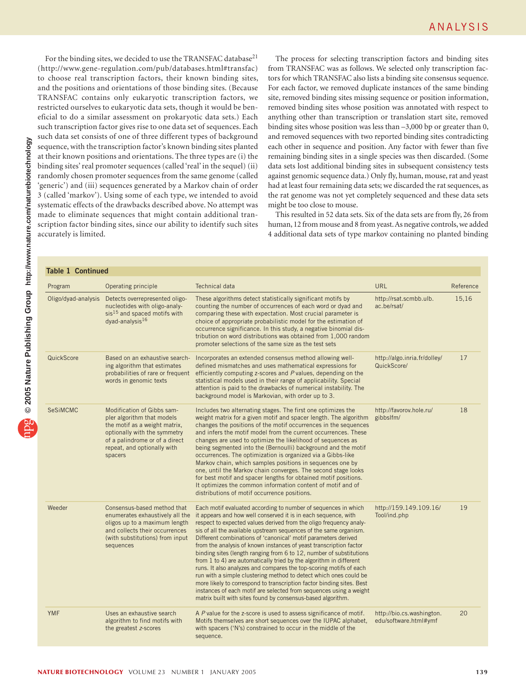For the binding sites, we decided to use the TRANSFAC database<sup>21</sup> (http://www.gene-regulation.com/pub/databases.html#transfac) to choose real transcription factors, their known binding sites, and the positions and orientations of those binding sites. (Because TRANSFAC contains only eukaryotic transcription factors, we restricted ourselves to eukaryotic data sets, though it would be beneficial to do a similar assessment on prokaryotic data sets.) Each such transcription factor gives rise to one data set of sequences. Each such data set consists of one of three different types of background sequence, with the transcription factor's known binding sites planted at their known positions and orientations. The three types are (i) the binding sites' real promoter sequences (called 'real' in the sequel) (ii) randomly chosen promoter sequences from the same genome (called 'generic') and (iii) sequences generated by a Markov chain of order 3 (called 'markov'). Using some of each type, we intended to avoid systematic effects of the drawbacks described above. No attempt was made to eliminate sequences that might contain additional transcription factor binding sites, since our ability to identify such sites accurately is limited.

The process for selecting transcription factors and binding sites from TRANSFAC was as follows. We selected only transcription factors for which TRANSFAC also lists a binding site consensus sequence. For each factor, we removed duplicate instances of the same binding site, removed binding sites missing sequence or position information, removed binding sites whose position was annotated with respect to anything other than transcription or translation start site, removed binding sites whose position was less than –3,000 bp or greater than 0, and removed sequences with two reported binding sites contradicting each other in sequence and position. Any factor with fewer than five remaining binding sites in a single species was then discarded. (Some data sets lost additional binding sites in subsequent consistency tests against genomic sequence data.) Only fly, human, mouse, rat and yeast had at least four remaining data sets; we discarded the rat sequences, as the rat genome was not yet completely sequenced and these data sets might be too close to mouse.

This resulted in 52 data sets. Six of the data sets are from fly, 26 from human, 12 from mouse and 8 from yeast. As negative controls, we added 4 additional data sets of type markov containing no planted binding

| Program             | Operating principle                                                                                                                                                                                   | <b>Technical data</b>                                                                                                                                                                                                                                                                                                                                                                                                                                                                                                                                                                                                                                                                                                                                                                                                                                                                                                     | <b>URL</b>                                         | Reference |
|---------------------|-------------------------------------------------------------------------------------------------------------------------------------------------------------------------------------------------------|---------------------------------------------------------------------------------------------------------------------------------------------------------------------------------------------------------------------------------------------------------------------------------------------------------------------------------------------------------------------------------------------------------------------------------------------------------------------------------------------------------------------------------------------------------------------------------------------------------------------------------------------------------------------------------------------------------------------------------------------------------------------------------------------------------------------------------------------------------------------------------------------------------------------------|----------------------------------------------------|-----------|
| Oligo/dyad-analysis | Detects overrepresented oligo-<br>nucleotides with oligo-analy-<br>$sis15$ and spaced motifs with<br>dyad-analysis <sup>16</sup>                                                                      | These algorithms detect statistically significant motifs by<br>counting the number of occurrences of each word or dyad and<br>comparing these with expectation. Most crucial parameter is<br>choice of appropriate probabilistic model for the estimation of<br>occurrence significance. In this study, a negative binomial dis-<br>tribution on word distributions was obtained from 1,000 random<br>promoter selections of the same size as the test sets                                                                                                                                                                                                                                                                                                                                                                                                                                                               | http://rsat.scmbb.ulb.<br>ac.be/rsat/              | 15,16     |
| QuickScore          | Based on an exhaustive search-<br>ing algorithm that estimates<br>probabilities of rare or frequent<br>words in genomic texts                                                                         | Incorporates an extended consensus method allowing well-<br>defined mismatches and uses mathematical expressions for<br>efficiently computing z-scores and P values, depending on the<br>statistical models used in their range of applicability. Special<br>attention is paid to the drawbacks of numerical instability. The<br>background model is Markovian, with order up to 3.                                                                                                                                                                                                                                                                                                                                                                                                                                                                                                                                       | http://algo.inria.fr/dolley/<br>QuickScore/        | 17        |
| <b>SeSiMCMC</b>     | Modification of Gibbs sam-<br>pler algorithm that models<br>the motif as a weight matrix,<br>optionally with the symmetry<br>of a palindrome or of a direct<br>repeat, and optionally with<br>spacers | Includes two alternating stages. The first one optimizes the<br>weight matrix for a given motif and spacer length. The algorithm<br>changes the positions of the motif occurrences in the sequences<br>and infers the motif model from the current occurrences. These<br>changes are used to optimize the likelihood of sequences as<br>being segmented into the (Bernoulli) background and the motif<br>occurrences. The optimization is organized via a Gibbs-like<br>Markov chain, which samples positions in sequences one by<br>one, until the Markov chain converges. The second stage looks<br>for best motif and spacer lengths for obtained motif positions.<br>It optimizes the common information content of motif and of<br>distributions of motif occurrence positions.                                                                                                                                      | http://favorov.hole.ru/<br>gibbslfm/               | 18        |
| Weeder              | Consensus-based method that<br>enumerates exhaustively all the<br>oligos up to a maximum length<br>and collects their occurrences<br>(with substitutions) from input<br>sequences                     | Each motif evaluated according to number of sequences in which<br>it appears and how well conserved it is in each sequence, with<br>respect to expected values derived from the oligo frequency analy-<br>sis of all the available upstream sequences of the same organism.<br>Different combinations of 'canonical' motif parameters derived<br>from the analysis of known instances of yeast transcription factor<br>binding sites (length ranging from 6 to 12, number of substitutions<br>from 1 to 4) are automatically tried by the algorithm in different<br>runs. It also analyzes and compares the top-scoring motifs of each<br>run with a simple clustering method to detect which ones could be<br>more likely to correspond to transcription factor binding sites. Best<br>instances of each motif are selected from sequences using a weight<br>matrix built with sites found by consensus-based algorithm. | http://159.149.109.16/<br>Tool/ind.php             | 19        |
| <b>YMF</b>          | Uses an exhaustive search<br>algorithm to find motifs with<br>the greatest z-scores                                                                                                                   | A P value for the z-score is used to assess significance of motif.<br>Motifs themselves are short sequences over the IUPAC alphabet,<br>with spacers ('N's) constrained to occur in the middle of the<br>sequence.                                                                                                                                                                                                                                                                                                                                                                                                                                                                                                                                                                                                                                                                                                        | http://bio.cs.washington.<br>edu/software.html#ymf | 20        |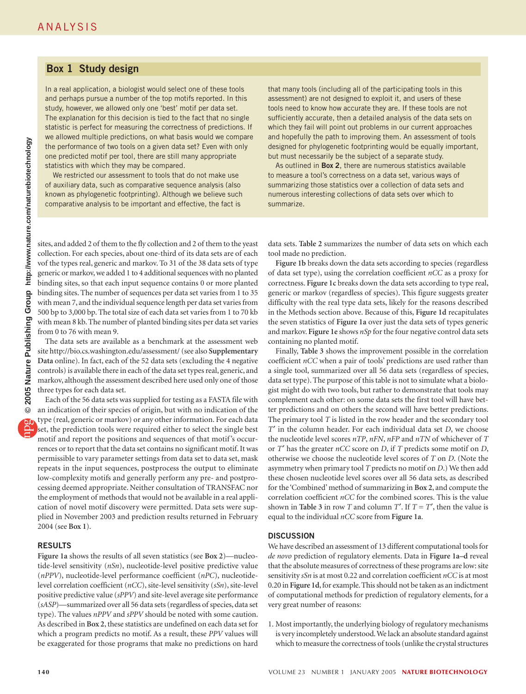### **Box 1 Study design**

In a real application, a biologist would select one of these tools and perhaps pursue a number of the top motifs reported. In this study, however, we allowed only one 'best' motif per data set. The explanation for this decision is tied to the fact that no single statistic is perfect for measuring the correctness of predictions. If we allowed multiple predictions, on what basis would we compare the performance of two tools on a given data set? Even with only one predicted motif per tool, there are still many appropriate statistics with which they may be compared.

We restricted our assessment to tools that do not make use of auxiliary data, such as comparative sequence analysis (also known as phylogenetic footprinting). Although we believe such comparative analysis to be important and effective, the fact is

that many tools (including all of the participating tools in this assessment) are not designed to exploit it, and users of these tools need to know how accurate they are. If these tools are not sufficiently accurate, then a detailed analysis of the data sets on which they fail will point out problems in our current approaches and hopefully the path to improving them. An assessment of tools designed for phylogenetic footprinting would be equally important, but must necessarily be the subject of a separate study.

As outlined in **Box 2**, there are numerous statistics available to measure a tool's correctness on a data set, various ways of summarizing those statistics over a collection of data sets and numerous interesting collections of data sets over which to summarize.

sites, and added 2 of them to the fly collection and 2 of them to the yeast collection. For each species, about one-third of its data sets are of each vof the types real, generic and markov. To 31 of the 38 data sets of type generic or markov, we added 1 to 4 additional sequences with no planted binding sites, so that each input sequence contains 0 or more planted binding sites. The number of sequences per data set varies from 1 to 35 with mean 7, and the individual sequence length per data set varies from 500 bp to 3,000 bp. The total size of each data set varies from 1 to 70 kb with mean 8 kb. The number of planted binding sites per data set varies from 0 to 76 with mean 9.

The data sets are available as a benchmark at the assessment web site http://bio.cs.washington.edu/assessment/ (see also **Supplementary Data** online). In fact, each of the 52 data sets (excluding the 4 negative controls) is available there in each of the data set types real, generic, and markov, although the assessment described here used only one of those three types for each data set.

Each of the 56 data sets was supplied for testing as a FASTA file with an indication of their species of origin, but with no indication of the type (real, generic or markov) or any other information. For each data set, the prediction tools were required either to select the single best motif and report the positions and sequences of that motif 's occurrences or to report that the data set contains no significant motif. It was permissible to vary parameter settings from data set to data set, mask repeats in the input sequences, postprocess the output to eliminate low-complexity motifs and generally perform any pre- and postprocessing deemed appropriate. Neither consultation of TRANSFAC nor the employment of methods that would not be available in a real application of novel motif discovery were permitted. Data sets were supplied in November 2003 and prediction results returned in February 2004 (see **Box 1**).

#### **RESULTS**

**Figure 1a** shows the results of all seven statistics (see **Box 2**)—nucleotide-level sensitivity (*nSn*), nucleotide-level positive predictive value (*nPPV*), nucleotide-level performance coefficient (*nPC*), nucleotidelevel correlation coefficient (*nCC*), site-level sensitivity (*sSn*), site-level positive predictive value (*sPPV*) and site-level average site performance (*sASP*)—summarized over all 56 data sets (regardless of species, data set type). The values *nPPV* and *sPPV* should be noted with some caution. As described in **Box 2**, these statistics are undefined on each data set for which a program predicts no motif. As a result, these *PPV* values will be exaggerated for those programs that make no predictions on hard

data sets. **Table 2** summarizes the number of data sets on which each tool made no prediction.

Figure 1b breaks down the data sets according to species (regardless) of data set type), using the correlation coefficient *nCC* as a proxy for correctness. **Figure 1c** breaks down the data sets according to type real, generic or markov (regardless of species). This figure suggests greater difficulty with the real type data sets, likely for the reasons described in the Methods section above. Because of this, **Figure 1d** recapitulates the seven statistics of **Figure 1a** over just the data sets of types generic and markov. **Figure 1e** shows *nSp* for the four negative control data sets containing no planted motif.

Finally, **Table 3** shows the improvement possible in the correlation coefficient *nCC* when a pair of tools' predictions are used rather than a single tool, summarized over all 56 data sets (regardless of species, data set type). The purpose of this table is not to simulate what a biologist might do with two tools, but rather to demonstrate that tools may complement each other: on some data sets the first tool will have better predictions and on others the second will have better predictions. The primary tool *T* is listed in the row header and the secondary tool *T*′ in the column header. For each individual data set *D*, we choose the nucleotide level scores *nTP*, *nFN*, *nFP* and *nTN* of whichever of *T* or *T*′ has the greater *nCC* score on *D*, if *T* predicts some motif on *D*, otherwise we choose the nucleotide level scores of *T* on *D*. (Note the asymmetry when primary tool *T* predicts no motif on *D*.) We then add these chosen nucleotide level scores over all 56 data sets, as described for the 'Combined' method of summarizing in **Box 2**, and compute the correlation coefficient *nCC* for the combined scores. This is the value shown in **Table 3** in row *T* and column *T'*. If  $T = T'$ , then the value is equal to the individual *nCC* score from **Figure 1a**.

#### **DISCUSSION**

We have described an assessment of 13 different computational tools for *de novo* prediction of regulatory elements. Data in **Figure 1a–d** reveal that the absolute measures of correctness of these programs are low: site sensitivity *sSn* is at most 0.22 and correlation coefficient *nCC* is at most 0.20 in **Figure 1d**, for example. This should not be taken as an indictment of computational methods for prediction of regulatory elements, for a very great number of reasons:

1. Most importantly, the underlying biology of regulatory mechanisms is very incompletely understood. We lack an absolute standard against which to measure the correctness of tools (unlike the crystal structures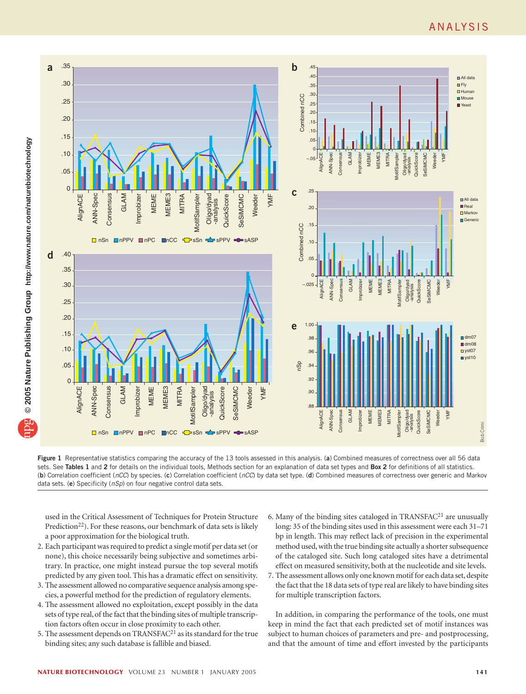## **ANALYSIS**





used in the Critical Assessment of Techniques for Protein Structure Prediction<sup>22</sup>). For these reasons, our benchmark of data sets is likely a poor approximation for the biological truth.

- 2. Each participant was required to predict a single motif per data set (or none), this choice necessarily being subjective and sometimes arbitrary. In practice, one might instead pursue the top several motifs predicted by any given tool. This has a dramatic effect on sensitivity.
- 3. The assessment allowed no comparative sequence analysis among species, a powerful method for the prediction of regulatory elements.
- 4. The assessment allowed no exploitation, except possibly in the data sets of type real, of the fact that the binding sites of multiple transcription factors often occur in close proximity to each other.
- 5. The assessment depends on  $\text{TRANSFAC}^{21}$  as its standard for the true binding sites; any such database is fallible and biased.
- 6. Many of the binding sites cataloged in TRANSFAC21 are unusually long: 35 of the binding sites used in this assessment were each 31–71 bp in length. This may reflect lack of precision in the experimental method used, with the true binding site actually a shorter subsequence of the cataloged site. Such long cataloged sites have a detrimental effect on measured sensitivity, both at the nucleotide and site levels.
- 7. The assessment allows only one known motif for each data set, despite the fact that the 18 data sets of type real are likely to have binding sites for multiple transcription factors.

In addition, in comparing the performance of the tools, one must keep in mind the fact that each predicted set of motif instances was subject to human choices of parameters and pre- and postprocessing, and that the amount of time and effort invested by the participants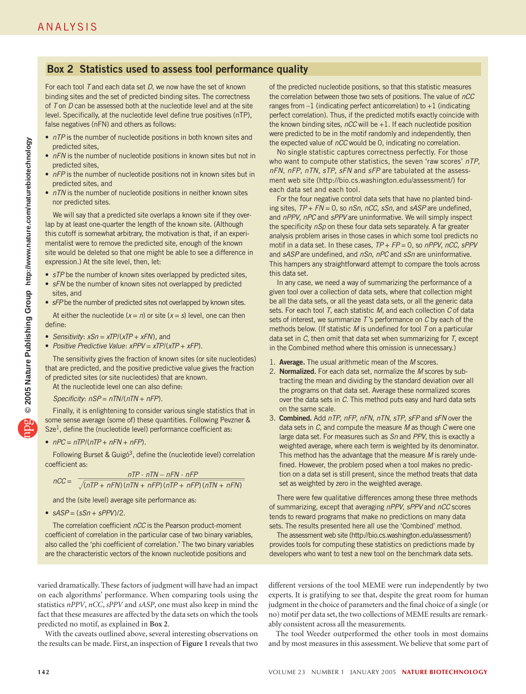## **Box 2 Statistics used to assess tool performance quality**

For each tool *T* and each data set *D*, we now have the set of known binding sites and the set of predicted binding sites. The correctness of *T* on *D* can be assessed both at the nucleotide level and at the site level. Specifically, at the nucleotide level define true positives (nTP), false negatives (nFN) and others as follows:

- *nTP* is the number of nucleotide positions in both known sites and predicted sites,
- *nFN* is the number of nucleotide positions in known sites but not in predicted sites,
- *nFP* is the number of nucleotide positions not in known sites but in predicted sites, and
- *nTN* is the number of nucleotide positions in neither known sites nor predicted sites.

We will say that a predicted site overlaps a known site if they overlap by at least one-quarter the length of the known site. (Although this cutoff is somewhat arbitrary, the motivation is that, if an experimentalist were to remove the predicted site, enough of the known site would be deleted so that one might be able to see a difference in expression.) At the site level, then, let:

- *sTP* be the number of known sites overlapped by predicted sites,
- *sFN* be the number of known sites not overlapped by predicted sites, and
- *sFP* be the number of predicted sites not overlapped by known sites.

At either the nucleotide  $(x = n)$  or site  $(x = s)$  level, one can then define:

- *Sensitivity*: *xSn* = *xTP*/(*xTP* + *xFN*), and
- *Positive Predictive Value*: *xPPV* = *xTP*/(*xTP* + *xFP*).

The sensitivity gives the fraction of known sites (or site nucleotides) that are predicted, and the positive predictive value gives the fraction of predicted sites (or site nucleotides) that are known.

At the nucleotide level one can also define:

*Specificity*: *nSP* = *nTN*/(*nTN* + *nFP*).

Finally, it is enlightening to consider various single statistics that in some sense average (some of) these quantities. Following Pevzner &  $Sze<sup>1</sup>$ , define the (nucleotide level) performance coefficient as:

• *nPC* = *nTP*/(*nTP* + *nFN* + *nFP*).

Following Burset & Guigó<sup>3</sup>, define the (nucleotide level) correlation coefficient as:

$$
nCC = \frac{nTP \cdot nTN - nFN \cdot nFP}{\sqrt{(nTP + nFN) (nTN + nFP) (nTP + nFP) (nTN + nFN)}}
$$

and the (site level) average site performance as:

• 
$$
sASP = (sSn + sPPV)/2
$$
.

The correlation coefficient *nCC* is the Pearson product-moment coefficient of correlation in the particular case of two binary variables, also called the 'phi coefficient of correlation.' The two binary variables are the characteristic vectors of the known nucleotide positions and

varied dramatically. These factors of judgment will have had an impact on each algorithms' performance. When comparing tools using the statistics *nPPV*, *nCC*, *sPPV* and *sASP*, one must also keep in mind the fact that these measures are affected by the data sets on which the tools predicted no motif, as explained in **Box 2**.

With the caveats outlined above, several interesting observations on the results can be made. First, an inspection of **Figure 1** reveals that two of the predicted nucleotide positions, so that this statistic measures the correlation between those two sets of positions. The value of *nCC* ranges from  $-1$  (indicating perfect anticorrelation) to  $+1$  (indicating perfect correlation). Thus, if the predicted motifs exactly coincide with the known binding sites, *nCC* will be +1. If each nucleotide position were predicted to be in the motif randomly and independently, then the expected value of *nCC* would be 0, indicating no correlation.

No single statistic captures correctness perfectly. For those who want to compute other statistics, the seven 'raw scores' *nTP*, *nFN*, *nFP*, *nTN*, *sTP*, *sFN* and *sFP* are tabulated at the assessment web site (http://bio.cs.washington.edu/assessment/) for each data set and each tool.

For the four negative control data sets that have no planted binding sites, *TP* + *FN* = 0, so *nSn*, *nCC*, *sSn*, and *sASP* are undefined, and *nPPV*, *nPC* and *sPPV* are uninformative. We will simply inspect the specificity *nSp* on these four data sets separately. A far greater analysis problem arises in those cases in which some tool predicts no motif in a data set. In these cases, *TP* + *FP* = 0, so *nPPV*, *nCC*, *sPPV* and *sASP* are undefined, and *nSn*, *nPC* and *sSn* are uninformative. This hampers any straightforward attempt to compare the tools across this data set.

In any case, we need a way of summarizing the performance of a given tool over a collection of data sets, where that collection might be all the data sets, or all the yeast data sets, or all the generic data sets. For each tool *T*, each statistic *M*, and each collection *C* of data sets of interest, we summarize *T* 's performance on *C* by each of the methods below. (If statistic *M* is undefined for tool *T* on a particular data set in *C*, then omit that data set when summarizing for *T*, except in the Combined method where this omission is unnecessary.)

- 1. **Average.** The usual arithmetic mean of the *M* scores.
- 2. **Normalized.** For each data set, normalize the *M* scores by subtracting the mean and dividing by the standard deviation over all the programs on that data set. Average these normalized scores over the data sets in *C*. This method puts easy and hard data sets on the same scale.
- 3. **Combined.** Add *nTP*, *nFP*, *nFN*, *nTN*, *sTP*, *sFP* and *sFN* over the data sets in *C*, and compute the measure *M* as though *C* were one large data set. For measures such as *Sn* and *PPV*, this is exactly a weighted average, where each term is weighted by its denominator. This method has the advantage that the measure *M* is rarely undefined. However, the problem posed when a tool makes no prediction on a data set is still present, since the method treats that data set as weighted by zero in the weighted average.

There were few qualitative differences among these three methods of summarizing, except that averaging *nPPV*, *sPPV* and *nCC* scores tends to reward programs that make no predictions on many data sets. The results presented here all use the 'Combined' method.

The assessment web site (http://bio.cs.washington.edu/assessment/) provides tools for computing these statistics on predictions made by developers who want to test a new tool on the benchmark data sets.

different versions of the tool MEME were run independently by two experts. It is gratifying to see that, despite the great room for human judgment in the choice of parameters and the final choice of a single (or no) motif per data set, the two collections of MEME results are remarkably consistent across all the measurements.

The tool Weeder outperformed the other tools in most domains and by most measures in this assessment. We believe that some part of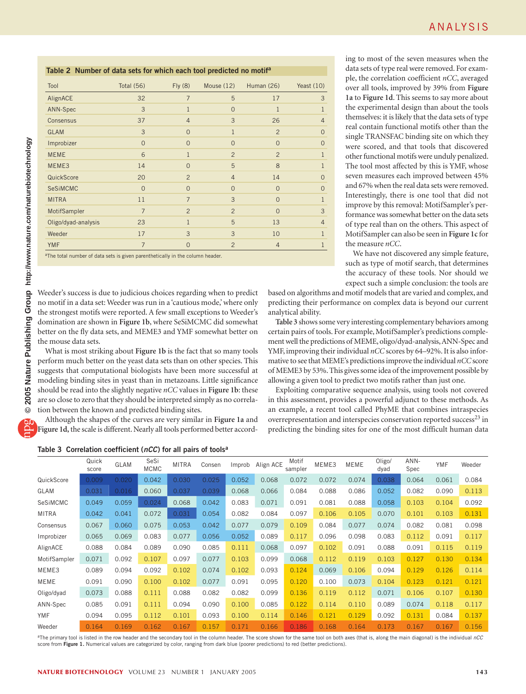**Table 2 Number of data sets for which each tool predicted no motif<sup>a</sup>**

| Tool                | <b>Total (56)</b> | Fly(8)                                                                                                                                                                                                                          | Mouse $(12)$   | Human (26)     | Yeast $(10)$   |
|---------------------|-------------------|---------------------------------------------------------------------------------------------------------------------------------------------------------------------------------------------------------------------------------|----------------|----------------|----------------|
| AlignACE            | 32                | $\overline{7}$                                                                                                                                                                                                                  | 5              | 17             | 3              |
| ANN-Spec            | 3                 | 1                                                                                                                                                                                                                               | $\Omega$       | 1              | 1              |
| Consensus           | 37                | $\overline{4}$                                                                                                                                                                                                                  | 3              | 26             | $\overline{4}$ |
| <b>GLAM</b>         | 3                 | $\Omega$                                                                                                                                                                                                                        | $\mathbf{1}$   | $\overline{2}$ | $\Omega$       |
| Improbizer          | $\Omega$          | $\Omega$                                                                                                                                                                                                                        | $\Omega$       | $\Omega$       | $\Omega$       |
| <b>MEME</b>         | 6                 | $\mathbf{1}$                                                                                                                                                                                                                    | $\overline{2}$ | $\overline{2}$ | $\mathbf{1}$   |
| MEME3               | 14                | $\Omega$                                                                                                                                                                                                                        | 5              | 8              | 1              |
| QuickScore          | 20                | $\overline{2}$                                                                                                                                                                                                                  | $\overline{4}$ | 14             | $\Omega$       |
| SeSiMCMC            | $\Omega$          | $\Omega$                                                                                                                                                                                                                        | $\Omega$       | $\Omega$       | $\Omega$       |
| <b>MITRA</b>        | 11                | $\overline{7}$                                                                                                                                                                                                                  | 3              | $\Omega$       | 1              |
| MotifSampler        | $\overline{7}$    | $\overline{2}$                                                                                                                                                                                                                  | $\overline{2}$ | $\Omega$       | 3              |
| Oligo/dyad-analysis | 23                | $\mathbf{1}$                                                                                                                                                                                                                    | 5              | 13             | $\overline{4}$ |
| Weeder              | 17                | 3                                                                                                                                                                                                                               | 3              | 10             | 1              |
| <b>YMF</b>          | $\overline{7}$    | $\overline{0}$                                                                                                                                                                                                                  | $\overline{2}$ | $\overline{4}$ | 1              |
| .                   |                   | $\sim$ . The state of the state of the state of the state of the state of the state of the state of the state of the state of the state of the state of the state of the state of the state of the state of the state of the st |                |                |                |

<sup>a</sup>The total number of data sets is given parenthetically in the column header.

Weeder's success is due to judicious choices regarding when to predict no motif in a data set: Weeder was run in a 'cautious mode,' where only the strongest motifs were reported. A few small exceptions to Weeder's domination are shown in **Figure 1b**, where SeSiMCMC did somewhat better on the fly data sets, and MEME3 and YMF somewhat better on the mouse data sets.

What is most striking about **Figure 1b** is the fact that so many tools perform much better on the yeast data sets than on other species. This suggests that computational biologists have been more successful at modeling binding sites in yeast than in metazoans. Little significance should be read into the slightly negative *nCC* values in **Figure 1b**: these are so close to zero that they should be interpreted simply as no correlation between the known and predicted binding sites.

Although the shapes of the curves are very similar in **Figure 1a** and **Figure 1d,** the scale is different. Nearly all tools performed better accord-

**Table 3 Correlation coefficient (***nCC***) for all pairs of tools<sup>a</sup>**

ing to most of the seven measures when the data sets of type real were removed. For example, the correlation coefficient *nCC*, averaged over all tools, improved by 39% from **Figure 1a** to **Figure 1d**. This seems to say more about the experimental design than about the tools themselves: it is likely that the data sets of type real contain functional motifs other than the single TRANSFAC binding site on which they were scored, and that tools that discovered other functional motifs were unduly penalized. The tool most affected by this is YMF, whose seven measures each improved between 45% and 67% when the real data sets were removed. Interestingly, there is one tool that did not improve by this removal: MotifSampler's performance was somewhat better on the data sets of type real than on the others. This aspect of MotifSampler can also be seen in **Figure 1c** for the measure *nCC*.

We have not discovered any simple feature, such as type of motif search, that determines the accuracy of these tools. Nor should we expect such a simple conclusion: the tools are

based on algorithms and motif models that are varied and complex, and predicting their performance on complex data is beyond our current analytical ability.

**Table 3** shows some very interesting complementary behaviors among certain pairs of tools. For example, MotifSampler's predictions complement well the predictions of MEME, oligo/dyad-analysis, ANN-Spec and YMF, improving their individual *nCC* scores by 64–92%. It is also informative to see that MEME's predictions improve the individual *nCC* score of MEME3 by 53%. This gives some idea of the improvement possible by allowing a given tool to predict two motifs rather than just one.

Exploiting comparative sequence analysis, using tools not covered in this assessment, provides a powerful adjunct to these methods. As an example, a recent tool called PhyME that combines intraspecies overrepresentation and interspecies conservation reported success<sup>23</sup> in predicting the binding sites for one of the most difficult human data

|                 | Quick<br>score | <b>GLAM</b> | SeSi<br>MCMC | MITRA | Consen | Improb | Align ACE | Motif<br>sampler | MEME3 | MEME  | Oligo/<br>dyad | ANN-<br>Spec | <b>YMF</b> | Weeder |
|-----------------|----------------|-------------|--------------|-------|--------|--------|-----------|------------------|-------|-------|----------------|--------------|------------|--------|
| QuickScore      | 0.009          | 0.020       | 0.042        | 0.030 | 0.025  | 0.052  | 0.068     | 0.072            | 0.072 | 0.074 | 0.038          | 0.064        | 0.061      | 0.084  |
| GLAM            | 0.031          | 0.016       | 0.060        | 0.037 | 0.039  | 0.068  | 0.066     | 0.084            | 0.088 | 0.086 | 0.052          | 0.082        | 0.090      | 0.113  |
| SeSiMCMC        | 0.049          | 0.059       | 0.024        | 0.068 | 0.042  | 0.083  | 0.071     | 0.091            | 0.081 | 0.088 | 0.058          | 0.103        | 0.104      | 0.092  |
| MITRA           | 0.042          | 0.041       | 0.072        | 0.031 | 0.054  | 0.082  | 0.084     | 0.097            | 0.106 | 0.105 | 0.070          | 0.101        | 0.103      | 0.131  |
| Consensus       | 0.067          | 0.060       | 0.075        | 0.053 | 0.042  | 0.077  | 0.079     | 0.109            | 0.084 | 0.077 | 0.074          | 0.082        | 0.081      | 0.098  |
| Improbizer      | 0.065          | 0.069       | 0.083        | 0.077 | 0.056  | 0.052  | 0.089     | 0.117            | 0.096 | 0.098 | 0.083          | 0.112        | 0.091      | 0.117  |
| AlignACE        | 0.088          | 0.084       | 0.089        | 0.090 | 0.085  | 0.111  | 0.068     | 0.097            | 0.102 | 0.091 | 0.088          | 0.091        | 0.115      | 0.119  |
| MotifSampler    | 0.071          | 0.092       | 0.107        | 0.097 | 0.077  | 0.103  | 0.099     | 0.068            | 0.112 | 0.119 | 0.103          | 0.127        | 0.130      | 0.134  |
| MEME3           | 0.089          | 0.094       | 0.092        | 0.102 | 0.074  | 0.102  | 0.093     | 0.124            | 0.069 | 0.106 | 0.094          | 0.129        | 0.126      | 0.114  |
| MEME            | 0.091          | 0.090       | 0.100        | 0.102 | 0.077  | 0.091  | 0.095     | 0.120            | 0.100 | 0.073 | 0.104          | 0.123        | 0.121      | 0.121  |
| Oligo/dyad      | 0.073          | 0.088       | 0.111        | 0.088 | 0.082  | 0.082  | 0.099     | 0.136            | 0.119 | 0.112 | 0.071          | 0.106        | 0.107      | 0.130  |
| <b>ANN-Spec</b> | 0.085          | 0.091       | 0.111        | 0.094 | 0.090  | 0.100  | 0.085     | 0.122            | 0.114 | 0.110 | 0.089          | 0.074        | 0.118      | 0.117  |
| YMF             | 0.094          | 0.095       | 0.112        | 0.101 | 0.093  | 0.100  | 0.114     | 0.146            | 0.121 | 0.129 | 0.092          | 0.131        | 0.084      | 0.137  |
| Weeder          | 0.164          | 0.169       | 0.162        | 0.167 | 0.157  | 0.171  | 0.166     | 0.186            | 0.168 | 0.164 | 0.173          | 0.167        | 0.167      | 0.156  |

 $a<sup>3</sup>$ The primary tool is listed in the row header and the secondary tool in the column header. The score shown for the same tool on both axes (that is, along the main diagonal) is the individual *nCC* score from **Figure 1.** Numerical values are categorized by color, ranging from dark blue (poorer predictions) to red (better predictions).